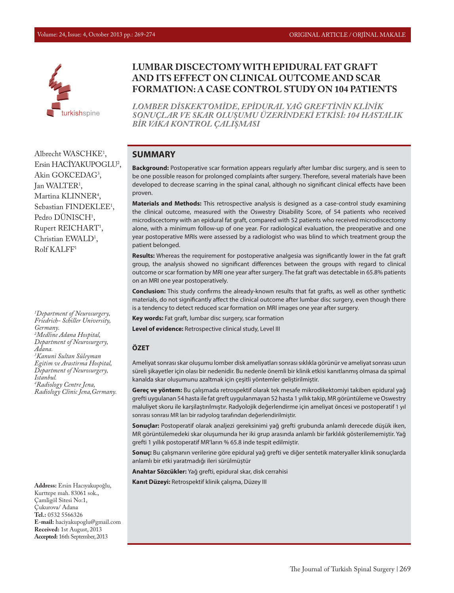

### **LUMBAR DISCECTOMY WITH EPIDURAL FAT GRAFT AND ITS EFFECT ON CLINICAL OUTCOME AND SCAR FORMATION: A CASE CONTROL STUDY ON 104 PATIENTS**

*LOMBER DİSKEKTOMİDE, EPİDURAL YAĞ GREFTİNİN KLİNİK SONUÇLAR VE SKAR OLUŞUMU ÜZERİNDEKİ ETKİSİ: 104 HASTALIK BİR VAKA KONTROL ÇALIŞMASI*

#### **SUMMARY**

**Background:** Postoperative scar formation appears regularly after lumbar disc surgery, and is seen to be one possible reason for prolonged complaints after surgery. Therefore, several materials have been developed to decrease scarring in the spinal canal, although no significant clinical effects have been proven.

**Materials and Methods:** This retrospective analysis is designed as a case-control study examining the clinical outcome, measured with the Oswestry Disability Score, of 54 patients who received microdiscectomy with an epidural fat graft, compared with 52 patients who received microdiscectomy alone, with a minimum follow-up of one year. For radiological evaluation, the preoperative and one year postoperative MRIs were assessed by a radiologist who was blind to which treatment group the patient belonged.

**Results:** Whereas the requirement for postoperative analgesia was significantly lower in the fat graft group, the analysis showed no significant differences between the groups with regard to clinical outcome or scar formation by MRI one year after surgery. The fat graft was detectable in 65.8% patients on an MRI one year postoperatively.

**Conclusion:** This study confirms the already-known results that fat grafts, as well as other synthetic materials, do not significantly affect the clinical outcome after lumbar disc surgery, even though there is a tendency to detect reduced scar formation on MRI images one year after surgery.

**Key words:** Fat graft, lumbar disc surgery, scar formation

**Level of evidence:** Retrospective clinical study, Level III

#### **ÖZET**

Ameliyat sonrası skar oluşumu lomber disk ameliyatları sonrası sıklıkla görünür ve ameliyat sonrası uzun süreli şikayetler için olası bir nedenidir. Bu nedenle önemli bir klinik etkisi kanıtlanmış olmasa da spimal kanalda skar oluşumunu azaltmak için çeşitli yöntemler geliştirilmiştir.

**Gereç ve yöntem:** Bu çalışmada retrospektif olarak tek mesafe mikrodikektomiyi takiben epidural yağ grefti uygulanan 54 hasta ile fat greft uygulanmayan 52 hasta 1 yıllık takip, MR görüntüleme ve Oswestry maluliyet skoru ile karşilaştırılmıştır. Radyolojik değerlendirme için ameliyat öncesi ve postoperatif 1 yıl sonrası sonrası MR ları bir radyolog tarafından değerlendirilmiştir.

**Sonuçlar:** Postoperatif olarak analjezi gereksinimi yağ grefti grubunda anlamlı derecede düşük iken, MR görüntülemedeki skar oluşumunda her iki grup arasında anlamlı bir farklılık gösterilememiştir. Yağ grefti 1 yıllık postoperatif MR'ların % 65.8 inde tespit edilmiştir.

**Sonuç:** Bu çalışmanın verilerine göre epidural yağ grefti ve diğer sentetik materyaller klinik sonuçlarda anlamlı bir etki yaratmadığı ileri sürülmüştür

**Anahtar Sözcükler:** Yağ grefti, epidural skar, disk cerrahisi

**Kanıt Düzeyi:** Retrospektif klinik çalışma, Düzey III

Albrecht WASCHKE<sup>1</sup>, Ersin HACİYAKUPOGLU2 , Akin GOKCEDAG<sup>3</sup>, Jan WALTER1 , Martina KLINNER<sup>4</sup>, Sebastian FINDEKLEE<sup>1</sup>, Pedro DUNISCH<sup>1</sup>, Rupert REICHART<sup>1</sup>, Christian EWALD<sup>1</sup>, Rolf KALFF1

*1 Department of Neurosurgery, Friedrich- Schiller University, Germany. 2 Medline Adana Hospital, Department of Neurosurgery, Adana. 3 Kanuni Sultan Süleyman Egitim ve Arastirma Hospital, Department of Neurosurgery, Istanbul. 4 Radiology Centre Jena, Radiology Clinic Jena,Germany.*

**Address:** Ersin Hacıyakupoğlu, Kurttepe mah. 83061 sok., Çamligöl Sitesi No:1, Çukurova/ Adana **Tel.:** 0532 5566326 **E-mail:** haciyakupoglu@gmail.com **Received:** 1st August, 2013 **Accepted:** 16th September, 2013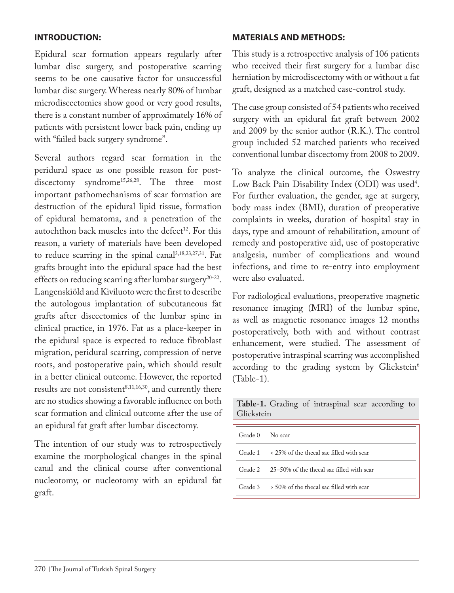### **INTRODUCTION:**

Epidural scar formation appears regularly after lumbar disc surgery, and postoperative scarring seems to be one causative factor for unsuccessful lumbar disc surgery. Whereas nearly 80% of lumbar microdiscectomies show good or very good results, there is a constant number of approximately 16% of patients with persistent lower back pain, ending up with "failed back surgery syndrome".

Several authors regard scar formation in the peridural space as one possible reason for postdiscectomy syndrome<sup>15,26,28</sup>. The three most important pathomechanisms of scar formation are destruction of the epidural lipid tissue, formation of epidural hematoma, and a penetration of the autochthon back muscles into the defect<sup>12</sup>. For this reason, a variety of materials have been developed to reduce scarring in the spinal canal<sup>3,18,23,27,31</sup>. Fat grafts brought into the epidural space had the best effects on reducing scarring after lumbar surgery<sup>20-22</sup>. Langenskiöld and Kiviluoto were the first to describe the autologous implantation of subcutaneous fat grafts after discectomies of the lumbar spine in clinical practice, in 1976. Fat as a place-keeper in the epidural space is expected to reduce fibroblast migration, peridural scarring, compression of nerve roots, and postoperative pain, which should result in a better clinical outcome. However, the reported results are not consistent $8,11,16,30$ , and currently there are no studies showing a favorable influence on both scar formation and clinical outcome after the use of an epidural fat graft after lumbar discectomy.

The intention of our study was to retrospectively examine the morphological changes in the spinal canal and the clinical course after conventional nucleotomy, or nucleotomy with an epidural fat graft.

# **MATERIALS AND METHODS:**

This study is a retrospective analysis of 106 patients who received their first surgery for a lumbar disc herniation by microdiscectomy with or without a fat graft, designed as a matched case-control study.

The case group consisted of 54 patients who received surgery with an epidural fat graft between 2002 and 2009 by the senior author (R.K.). The control group included 52 matched patients who received conventional lumbar discectomy from 2008 to 2009.

To analyze the clinical outcome, the Oswestry Low Back Pain Disability Index (ODI) was used<sup>4</sup>. For further evaluation, the gender, age at surgery, body mass index (BMI), duration of preoperative complaints in weeks, duration of hospital stay in days, type and amount of rehabilitation, amount of remedy and postoperative aid, use of postoperative analgesia, number of complications and wound infections, and time to re-entry into employment were also evaluated.

For radiological evaluations, preoperative magnetic resonance imaging (MRI) of the lumbar spine, as well as magnetic resonance images 12 months postoperatively, both with and without contrast enhancement, were studied. The assessment of postoperative intraspinal scarring was accomplished according to the grading system by Glickstein $6$ (Table-1).

| ----------- |                                                               |  |  |  |
|-------------|---------------------------------------------------------------|--|--|--|
|             |                                                               |  |  |  |
| Grade 0     | No scar                                                       |  |  |  |
|             | Grade $1 \times 25\%$ of the thecal sac filled with scar      |  |  |  |
|             | Grade 2 25–50% of the thecal sac filled with scar             |  |  |  |
|             | Grade $3 \rightarrow 50\%$ of the thecal sac filled with scar |  |  |  |
|             |                                                               |  |  |  |

**Table-1.** Grading of intraspinal scar according to Glickstein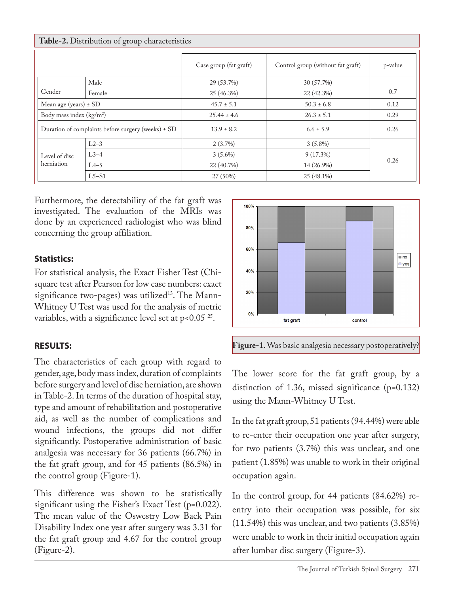| Table-2. Distribution of group characteristics     |         |                        |                                   |         |  |  |
|----------------------------------------------------|---------|------------------------|-----------------------------------|---------|--|--|
|                                                    |         | Case group (fat graft) | Control group (without fat graft) | p-value |  |  |
| Gender                                             | Male    | 29 (53.7%)             | 30 (57.7%)                        |         |  |  |
|                                                    | Female  | 25 (46.3%)             | 22 (42.3%)                        | 0.7     |  |  |
| Mean age (years) $\pm$ SD                          |         | $45.7 \pm 5.1$         | $50.3 \pm 6.8$                    | 0.12    |  |  |
| Body mass index $(kg/m2)$                          |         | $25.44 \pm 4.6$        | $26.3 \pm 5.1$                    | 0.29    |  |  |
| Duration of complaints before surgery (weeks) ± SD |         | $13.9 \pm 8.2$         | $6.6 \pm 5.9$                     | 0.26    |  |  |
| Level of disc<br>herniation                        | $L2-3$  | $2(3.7\%)$             | $3(5.8\%)$                        |         |  |  |
|                                                    | $L3-4$  | $3(5.6\%)$             | $9(17.3\%)$                       |         |  |  |
|                                                    | $L4-5$  | 22 (40.7%)             | 14 (26.9%)                        | 0.26    |  |  |
|                                                    | $L5-S1$ | 27 (50%)               | 25 (48.1%)                        |         |  |  |

Furthermore, the detectability of the fat graft was investigated. The evaluation of the MRIs was done by an experienced radiologist who was blind concerning the group affiliation.

# **Statistics:**

For statistical analysis, the Exact Fisher Test (Chisquare test after Pearson for low case numbers: exact significance two-pages) was utilized<sup>13</sup>. The Mann-Whitney U Test was used for the analysis of metric variables, with a significance level set at  $p < 0.05$  <sup>25</sup>.

# **RESULTS:**

The characteristics of each group with regard to gender, age, body mass index, duration of complaints before surgery and level of disc herniation, are shown in Table-2. In terms of the duration of hospital stay, type and amount of rehabilitation and postoperative aid, as well as the number of complications and wound infections, the groups did not differ significantly. Postoperative administration of basic analgesia was necessary for 36 patients (66.7%) in the fat graft group, and for 45 patients (86.5%) in the control group (Figure-1).

This difference was shown to be statistically significant using the Fisher's Exact Test (p=0.022). The mean value of the Oswestry Low Back Pain Disability Index one year after surgery was 3.31 for the fat graft group and 4.67 for the control group (Figure-2).





The lower score for the fat graft group, by a distinction of 1.36, missed significance (p=0.132) using the Mann-Whitney U Test.

In the fat graft group, 51 patients (94.44%) were able to re-enter their occupation one year after surgery, for two patients (3.7%) this was unclear, and one patient (1.85%) was unable to work in their original occupation again.

In the control group, for 44 patients (84.62%) reentry into their occupation was possible, for six (11.54%) this was unclear, and two patients (3.85%) were unable to work in their initial occupation again after lumbar disc surgery (Figure-3).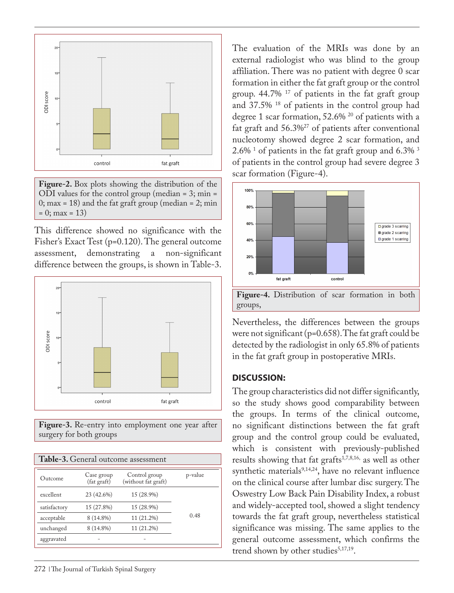

**Figure-2.** Box plots showing the distribution of the ODI values for the control group (median = 3; min = 0; max = 18) and the fat graft group (median = 2; min  $= 0$ ; max  $= 13$ )

This difference showed no significance with the Fisher's Exact Test (p=0.120). The general outcome assessment, demonstrating a non-significant difference between the groups, is shown in Table-3.



**Figure-3.** Re-entry into employment one year after surgery for both groups

| Table-3. General outcome assessment |                           |                                      |         |  |  |  |
|-------------------------------------|---------------------------|--------------------------------------|---------|--|--|--|
| Outcome                             | Case group<br>(fat graft) | Control group<br>(without fat graft) | p-value |  |  |  |
| excellent                           | 23 (42.6%)                | 15 (28.9%)                           |         |  |  |  |
| satisfactory                        | 15 (27.8%)                | 15 (28.9%)                           |         |  |  |  |
| acceptable                          | 8 (14.8%)                 | 11 (21.2%)                           | 0.48    |  |  |  |
| unchanged                           | 8 (14.8%)                 | 11 (21.2%)                           |         |  |  |  |
| aggravated                          |                           |                                      |         |  |  |  |
|                                     |                           |                                      |         |  |  |  |

The evaluation of the MRIs was done by an external radiologist who was blind to the group affiliation. There was no patient with degree 0 scar formation in either the fat graft group or the control group. 44.7% 17 of patients in the fat graft group and 37.5% 18 of patients in the control group had degree 1 scar formation, 52.6% 20 of patients with a fat graft and 56.3%27 of patients after conventional nucleotomy showed degree 2 scar formation, and  $2.6\%$  <sup>1</sup> of patients in the fat graft group and 6.3%  $^3$ of patients in the control group had severe degree 3 scar formation (Figure-4).



Nevertheless, the differences between the groups were not significant (p=0.658). The fat graft could be detected by the radiologist in only 65.8% of patients in the fat graft group in postoperative MRIs.

#### **DISCUSSION:**

The group characteristics did not differ significantly, so the study shows good comparability between the groups. In terms of the clinical outcome, no significant distinctions between the fat graft group and the control group could be evaluated, which is consistent with previously-published results showing that fat grafts<sup>1,7,8,16,</sup> as well as other synthetic materials $9,14,24$ , have no relevant influence on the clinical course after lumbar disc surgery. The Oswestry Low Back Pain Disability Index, a robust and widely-accepted tool, showed a slight tendency towards the fat graft group, nevertheless statistical significance was missing. The same applies to the general outcome assessment, which confirms the trend shown by other studies $5,17,19$ .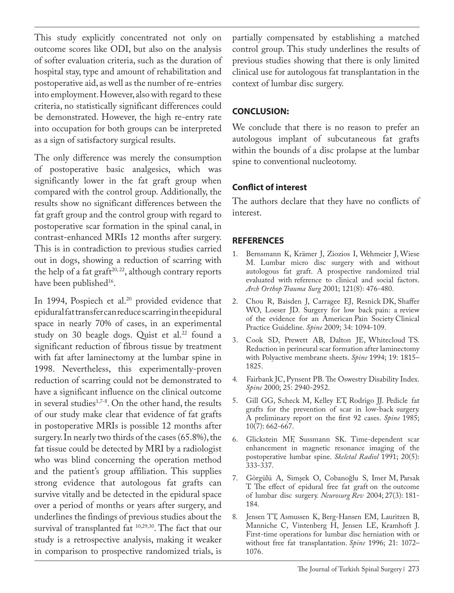This study explicitly concentrated not only on outcome scores like ODI, but also on the analysis of softer evaluation criteria, such as the duration of hospital stay, type and amount of rehabilitation and postoperative aid, as well as the number of re-entries into employment. However, also with regard to these criteria, no statistically significant differences could be demonstrated. However, the high re-entry rate into occupation for both groups can be interpreted as a sign of satisfactory surgical results.

The only difference was merely the consumption of postoperative basic analgesics, which was significantly lower in the fat graft group when compared with the control group. Additionally, the results show no significant differences between the fat graft group and the control group with regard to postoperative scar formation in the spinal canal, in contrast-enhanced MRIs 12 months after surgery. This is in contradiction to previous studies carried out in dogs, showing a reduction of scarring with the help of a fat graft<sup>20, 22</sup>, although contrary reports have been published<sup>16</sup>.

In 1994, Pospiech et al.<sup>20</sup> provided evidence that epidural fat transfer can reduce scarring in the epidural space in nearly 70% of cases, in an experimental study on 30 beagle dogs. Quist et al.<sup>22</sup> found a significant reduction of fibrous tissue by treatment with fat after laminectomy at the lumbar spine in 1998. Nevertheless, this experimentally-proven reduction of scarring could not be demonstrated to have a significant influence on the clinical outcome in several studies<sup>1,7-8</sup>. On the other hand, the results of our study make clear that evidence of fat grafts in postoperative MRIs is possible 12 months after surgery. In nearly two thirds of the cases (65.8%), the fat tissue could be detected by MRI by a radiologist who was blind concerning the operation method and the patient's group affiliation. This supplies strong evidence that autologous fat grafts can survive vitally and be detected in the epidural space over a period of months or years after surgery, and underlines the findings of previous studies about the survival of transplanted fat 10,29,30. The fact that our study is a retrospective analysis, making it weaker in comparison to prospective randomized trials, is

partially compensated by establishing a matched control group. This study underlines the results of previous studies showing that there is only limited clinical use for autologous fat transplantation in the context of lumbar disc surgery.

# **CONCLUSION:**

We conclude that there is no reason to prefer an autologous implant of subcutaneous fat grafts within the bounds of a disc prolapse at the lumbar spine to conventional nucleotomy.

# **Conflict of interest**

The authors declare that they have no conflicts of interest.

### **REFERENCES**

- 1. Bernsmann K, Krämer J, Ziozios I, Wehmeier J, Wiese M. Lumbar micro disc surgery with and without autologous fat graft. A prospective randomized trial evaluated with reference to clinical and social factors. *Arch Orthop Trauma Surg* 2001; 121(8): 476-480.
- 2. Chou R, Baisden J, Carragee EJ, Resnick DK, Shaffer WO, Loeser JD. Surgery for low back pain: a review of the evidence for an American Pain Society Clinical Practice Guideline. *Spine* 2009; 34: 1094-109.
- 3. Cook SD, Prewett AB, Dalton JE, Whitecloud TS. Reduction in perineural scar formation after laminectomy with Polyactive membrane sheets. *Spine* 1994; 19: 1815– 1825.
- 4. Fairbank JC, Pynsent PB. The Oswestry Disability Index. *Spine* 2000; 25: 2940-2952.
- 5. Gill GG, Scheck M, Kelley ET, Rodrigo JJ. Pedicle fat grafts for the prevention of scar in low-back surgery. A preliminary report on the first 92 cases. *Spine* 1985; 10(7): 662-667.
- 6. Glickstein MF, Sussmann SK. Time-dependent scar enhancement in magnetic resonance imaging of the postoperative lumbar spine. *Skeletal Radiol* 1991; 20(5): 333-337.
- 7. Görgülü A, Simşek O, Cobanoğlu S, Imer M, Parsak T. The effect of epidural free fat graft on the outcome of lumbar disc surgery. *Neurosurg Rev* 2004; 27(3): 181- 184.
- 8. Jensen TT, Asmussen K, Berg-Hansen EM, Lauritzen B, Manniche C, Vintenberg H, Jensen LE, Kramhoft J. First-time operations for lumbar disc herniation with or without free fat transplantation. *Spine* 1996; 21: 1072– 1076.